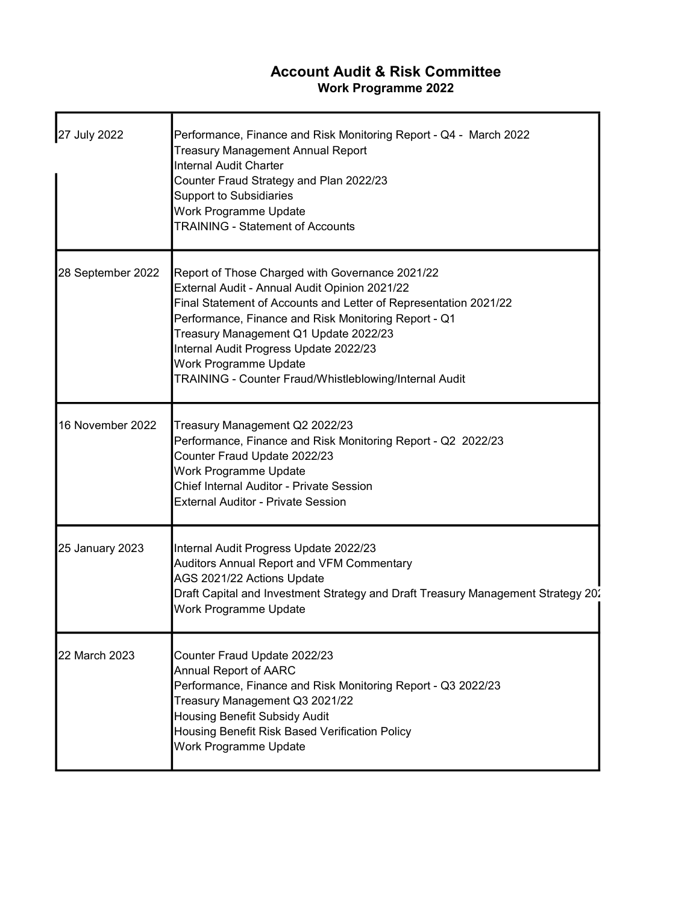## Account Audit & Risk Committee Work Programme 2022

| 27 July 2022           | Performance, Finance and Risk Monitoring Report - Q4 - March 2022<br><b>Treasury Management Annual Report</b><br><b>Internal Audit Charter</b><br>Counter Fraud Strategy and Plan 2022/23<br><b>Support to Subsidiaries</b><br>Work Programme Update<br><b>TRAINING - Statement of Accounts</b>                                                                                                    |
|------------------------|----------------------------------------------------------------------------------------------------------------------------------------------------------------------------------------------------------------------------------------------------------------------------------------------------------------------------------------------------------------------------------------------------|
| 28 September 2022      | Report of Those Charged with Governance 2021/22<br>External Audit - Annual Audit Opinion 2021/22<br>Final Statement of Accounts and Letter of Representation 2021/22<br>Performance, Finance and Risk Monitoring Report - Q1<br>Treasury Management Q1 Update 2022/23<br>Internal Audit Progress Update 2022/23<br>Work Programme Update<br>TRAINING - Counter Fraud/Whistleblowing/Internal Audit |
| 16 November 2022       | Treasury Management Q2 2022/23<br>Performance, Finance and Risk Monitoring Report - Q2 2022/23<br>Counter Fraud Update 2022/23<br>Work Programme Update<br>Chief Internal Auditor - Private Session<br><b>External Auditor - Private Session</b>                                                                                                                                                   |
| <b>25 January 2023</b> | Internal Audit Progress Update 2022/23<br>Auditors Annual Report and VFM Commentary<br>AGS 2021/22 Actions Update<br>Draft Capital and Investment Strategy and Draft Treasury Management Strategy 20.<br>Work Programme Update                                                                                                                                                                     |
| 22 March 2023          | Counter Fraud Update 2022/23<br>Annual Report of AARC<br>Performance, Finance and Risk Monitoring Report - Q3 2022/23<br>Treasury Management Q3 2021/22<br><b>Housing Benefit Subsidy Audit</b><br>Housing Benefit Risk Based Verification Policy<br>Work Programme Update                                                                                                                         |